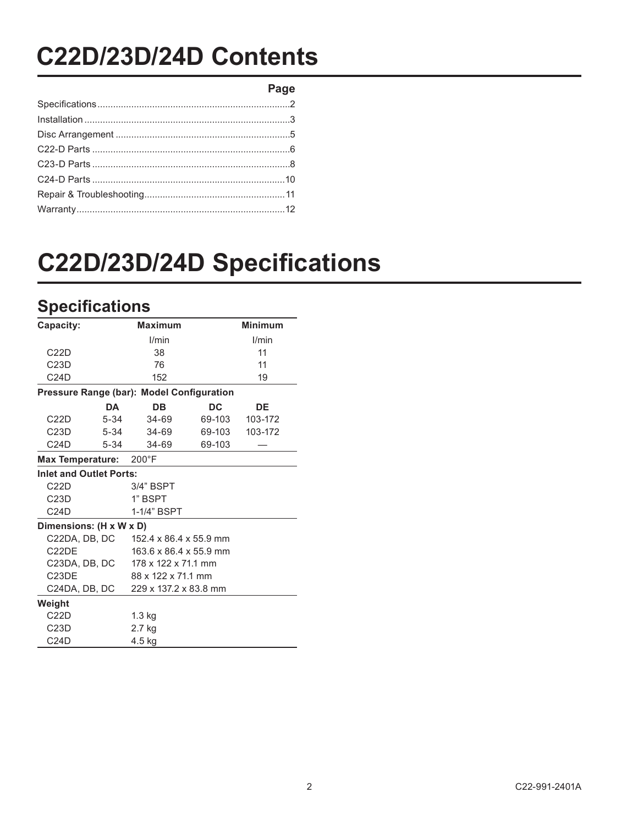# **C22D/23D/24D'Contents**

**Page**

# **C22D/23D/24D Specifications**

## **Specifications**

| Capacity:                                 | <b>Maximum</b>         | <b>Minimum</b> |         |
|-------------------------------------------|------------------------|----------------|---------|
|                                           | l/min                  | I/min          |         |
| C22D                                      | 38                     |                | 11      |
| C23D                                      | 76                     |                | 11      |
| C24D                                      | 152                    |                | 19      |
| Pressure Range (bar): Model Configuration |                        |                |         |
| <b>DA</b>                                 | DB                     | DC             | DE      |
| C22D<br>$5 - 34$                          | 34-69                  | 69-103         | 103-172 |
| C23D<br>5-34                              | 34-69                  | 69-103         | 103-172 |
| C24D<br>$5 - 34$                          | 34-69                  | 69-103         |         |
| <b>Max Temperature:</b>                   | $200^{\circ}$ F        |                |         |
| <b>Inlet and Outlet Ports:</b>            |                        |                |         |
| C22D                                      | 3/4" BSPT              |                |         |
| C23D                                      | 1" BSPT                |                |         |
| C24D                                      | 1-1/4" BSPT            |                |         |
| Dimensions: (H x W x D)                   |                        |                |         |
| C22DA, DB, DC                             | 152.4 x 86.4 x 55.9 mm |                |         |
| C <sub>2</sub> 2DE                        | 163.6 x 86.4 x 55.9 mm |                |         |
| C23DA, DB, DC                             | 178 x 122 x 71.1 mm    |                |         |
| C <sub>23</sub> DE                        | 88 x 122 x 71.1 mm     |                |         |
| C24DA, DB, DC                             | 229 x 137.2 x 83.8 mm  |                |         |
| Weight                                    |                        |                |         |
| C22D                                      | $1.3$ kg               |                |         |
| C23D                                      | 2.7 kg                 |                |         |
| C24D                                      | 4.5 kg                 |                |         |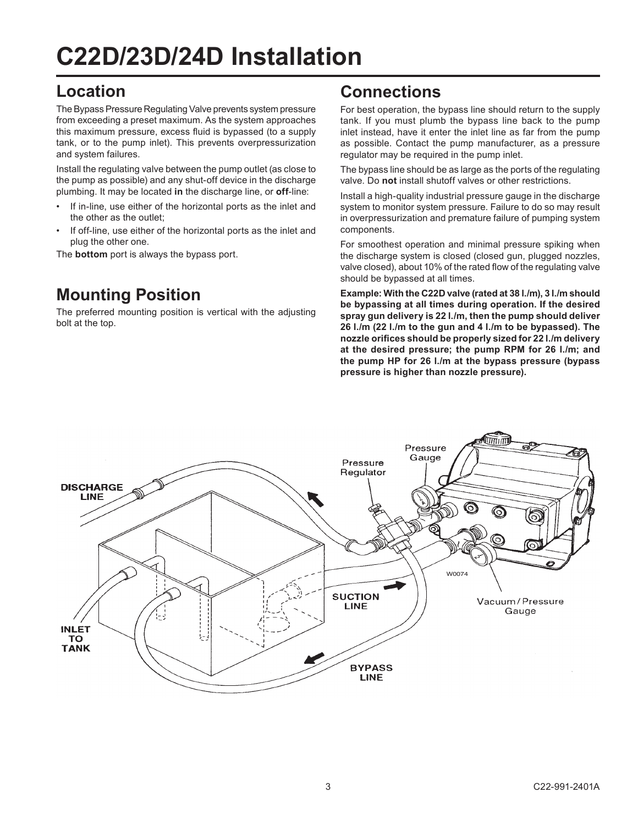# **C22D/23D/24D'Installation**

#### **Location**

The Bypass Pressure Regulating Valve prevents system pressure from exceeding a preset maximum. As the system approaches this maximum pressure, excess fluid is bypassed (to a supply tank, or to the pump inlet). This prevents overpressurization and system failures.

Install the regulating valve between the pump outlet (as close to the pump as possible) and any shut-off device in the discharge plumbing. It may be located in the discharge line, or **off-line**:

- If in-line, use either of the horizontal ports as the inlet and the other as the outlet:
- If off-line, use either of the horizontal ports as the inlet and plug the other one.

The **bottom** port is always the bypass port.

## **Mounting Position**

The preferred mounting position is vertical with the adjusting bolt at the top.

#### **Connections**

For best operation, the bypass line should return to the supply tank. If you must plumb the bypass line back to the pump inlet instead, have it enter the inlet line as far from the pump as possible. Contact the pump manufacturer, as a pressure regulator may be required in the pump inlet.

The bypass line should be as large as the ports of the regulating valve. Do not install shutoff valves or other restrictions.

Install a high-quality industrial pressure gauge in the discharge system to monitor system pressure. Failure to do so may result in overpressurization and premature failure of pumping system components.

For smoothest operation and minimal pressure spiking when the discharge system is closed (closed gun, plugged nozzles, valve closed), about 10% of the rated flow of the regulating valve should be bypassed at all times.

**Example: With the C22D valve (rated at 38 l./m), 3 l./m should** be bypassing at all times during operation. If the desired spray gun delivery is 22 l./m, then the pump should deliver 26 l./m (22 l./m to the gun and 4 l./m to be bypassed). The nozzle orifices should be properly sized for 22 l./m delivery at the desired pressure; the pump RPM for 26 l./m; and the pump HP for 26 l./m at the bypass pressure (bypass) pressure is higher than nozzle pressure).

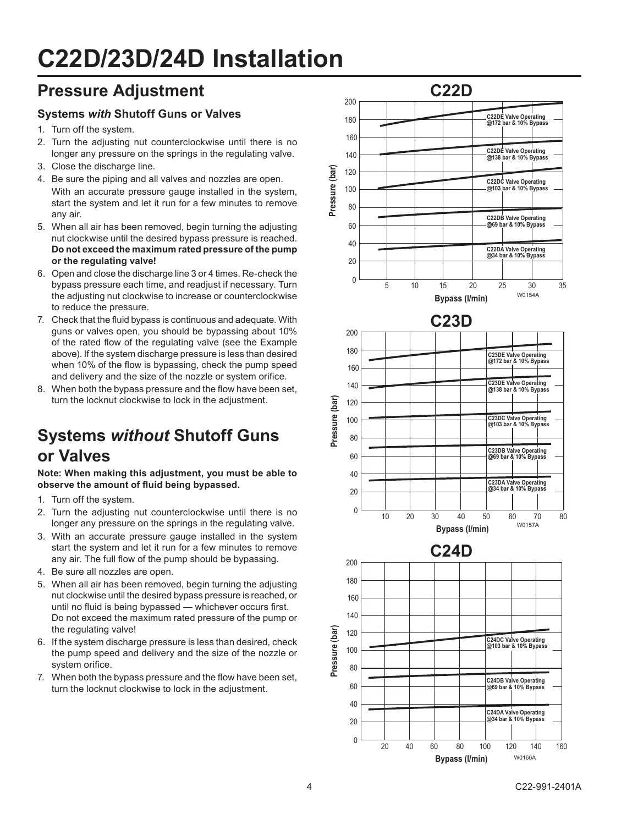# **C22D/23D/24D'Installation**

## **Pressure Adjustment**

#### **Systems'***with%***Shutoff'Guns'or'Valves**

- 1. Turn off the system.
- 2. Turn the adjusting nut counterclockwise until there is no longer any pressure on the springs in the regulating valve.
- 3. Close the discharge line.
- 4. Be sure the piping and all valves and nozzles are open. With an accurate pressure gauge installed in the system, start the system and let it run for a few minutes to remove any air.
- 5. When all air has been removed, begin turning the adjusting nut clockwise until the desired bypass pressure is reached. **Do'not'exceed'the'maximum'rated'pressure'of'the'pump'** or the regulating valve!
- 6. Open and close the discharge line 3 or 4 times. Re-check the bypass pressure each time, and readjust if necessary. Turn the adjusting nut clockwise to increase or counterclockwise to reduce the pressure.
- 7. Check that the fluid bypass is continuous and adequate. With guns or valves open, you should be bypassing about 10% of the rated flow of the regulating valve (see the Example above). If the system discharge pressure is less than desired when 10% of the flow is bypassing, check the pump speed and delivery and the size of the nozzle or system orifice.
- 8. When both the bypass pressure and the flow have been set, turn the locknut clockwise to lock in the adjustment.

# **Systems'***without***'Shutoff'Guns' or'Valves**

Note: When making this adjustment, you must be able to observe the amount of fluid being bypassed.

- 1. Turn off the system.
- 2. Turn the adjusting nut counterclockwise until there is no longer any pressure on the springs in the regulating valve.
- 3. With an accurate pressure gauge installed in the system start the system and let it run for a few minutes to remove any air. The full flow of the pump should be bypassing.
- 4. Be sure all nozzles are open.
- 5. When all air has been removed, begin turning the adjusting nut clockwise until the desired bypass pressure is reached, or until no fluid is being bypassed - whichever occurs first. Do not exceed the maximum rated pressure of the pump or the regulating valve!
- 6. If the system discharge pressure is less than desired, check the pump speed and delivery and the size of the nozzle or system orifice.
- 7. When both the bypass pressure and the flow have been set. turn the locknut clockwise to lock in the adjustment.